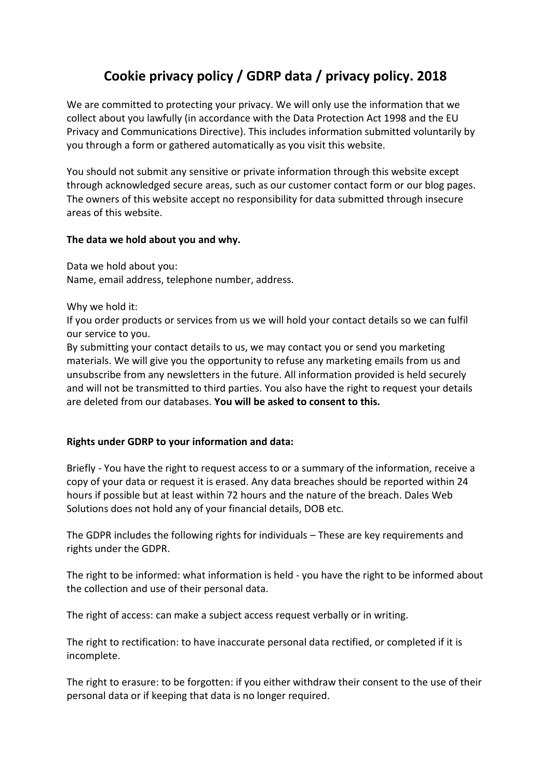# **Cookie privacy policy / GDRP data / privacy policy. 2018**

We are committed to protecting your privacy. We will only use the information that we collect about you lawfully (in accordance with the Data Protection Act 1998 and the EU Privacy and Communications Directive). This includes information submitted voluntarily by you through a form or gathered automatically as you visit this website.

You should not submit any sensitive or private information through this website except through acknowledged secure areas, such as our customer contact form or our blog pages. The owners of this website accept no responsibility for data submitted through insecure areas of this website.

### **The data we hold about you and why.**

Data we hold about you: Name, email address, telephone number, address.

Why we hold it:

If you order products or services from us we will hold your contact details so we can fulfil our service to you.

By submitting your contact details to us, we may contact you or send you marketing materials. We will give you the opportunity to refuse any marketing emails from us and unsubscribe from any newsletters in the future. All information provided is held securely and will not be transmitted to third parties. You also have the right to request your details are deleted from our databases. **You will be asked to consent to this.**

## **Rights under GDRP to your information and data:**

Briefly - You have the right to request access to or a summary of the information, receive a copy of your data or request it is erased. Any data breaches should be reported within 24 hours if possible but at least within 72 hours and the nature of the breach. Dales Web Solutions does not hold any of your financial details, DOB etc.

The GDPR includes the following rights for individuals – These are key requirements and rights under the GDPR.

The right to be informed: what information is held - you have the right to be informed about the collection and use of their personal data.

The right of access: can make a subject access request verbally or in writing.

The right to rectification: to have inaccurate personal data rectified, or completed if it is incomplete.

The right to erasure: to be forgotten: if you either withdraw their consent to the use of their personal data or if keeping that data is no longer required.